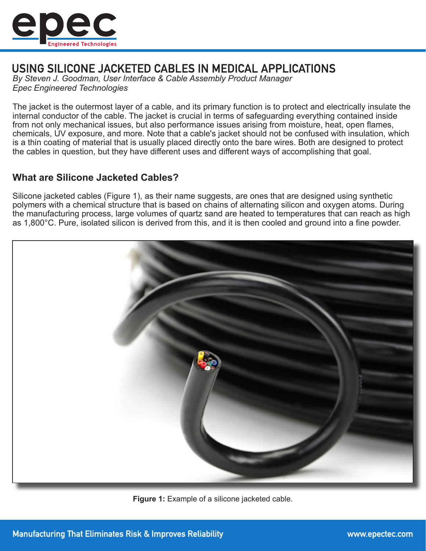

# USING SILICONE JACKETED CABLES IN MEDICAL APPLICATIONS

*By Steven J. Goodman, User Interface & Cable Assembly Product Manager Epec Engineered Technologies*

The jacket is the outermost layer of a cable, and its primary function is to protect and electrically insulate the internal conductor of the cable. The jacket is crucial in terms of safeguarding everything contained inside from not only mechanical issues, but also performance issues arising from moisture, heat, open flames, chemicals, UV exposure, and more. Note that a cable's jacket should not be confused with insulation, which is a thin coating of material that is usually placed directly onto the bare wires. Both are designed to protect the cables in question, but they have different uses and different ways of accomplishing that goal.

### **What are Silicone Jacketed Cables?**

Silicone jacketed cables (Figure 1), as their name suggests, are ones that are designed using synthetic polymers with a chemical structure that is based on chains of alternating silicon and oxygen atoms. During the manufacturing process, large volumes of quartz sand are heated to temperatures that can reach as high as 1,800°C. Pure, isolated silicon is derived from this, and it is then cooled and ground into a fine powder.



**Figure 1:** Example of a silicone jacketed cable.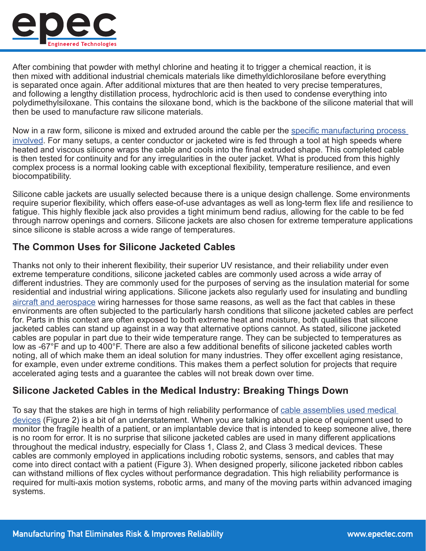![](_page_1_Picture_0.jpeg)

After combining that powder with methyl chlorine and heating it to trigger a chemical reaction, it is then mixed with additional industrial chemicals materials like dimethyldichlorosilane before everything is separated once again. After additional mixtures that are then heated to very precise temperatures, and following a lengthy distillation process, hydrochloric acid is then used to condense everything into polydimethylsiloxane. This contains the siloxane bond, which is the backbone of the silicone material that will then be used to manufacture raw silicone materials.

Now in a raw form, silicone is mixed and extruded around the cable per the [specific manufacturing process](https://www.epectec.com/cable-assemblies/processing-capabilities.html)  [involved](https://www.epectec.com/cable-assemblies/processing-capabilities.html). For many setups, a center conductor or jacketed wire is fed through a tool at high speeds where heated and viscous silicone wraps the cable and cools into the final extruded shape. This completed cable is then tested for continuity and for any irregularities in the outer jacket. What is produced from this highly complex process is a normal looking cable with exceptional flexibility, temperature resilience, and even biocompatibility.

Silicone cable jackets are usually selected because there is a unique design challenge. Some environments require superior flexibility, which offers ease-of-use advantages as well as long-term flex life and resilience to fatigue. This highly flexible jack also provides a tight minimum bend radius, allowing for the cable to be fed through narrow openings and corners. Silicone jackets are also chosen for extreme temperature applications since silicone is stable across a wide range of temperatures.

## **The Common Uses for Silicone Jacketed Cables**

Thanks not only to their inherent flexibility, their superior UV resistance, and their reliability under even extreme temperature conditions, silicone jacketed cables are commonly used across a wide array of different industries. They are commonly used for the purposes of serving as the insulation material for some residential and industrial wiring applications. Silicone jackets also regularly used for insulating and bundling [aircraft and aerospace](https://www.epectec.com/cable-assemblies/military-wire-harnesses.html) wiring harnesses for those same reasons, as well as the fact that cables in these environments are often subjected to the particularly harsh conditions that silicone jacketed cables are perfect for. Parts in this context are often exposed to both extreme heat and moisture, both qualities that silicone jacketed cables can stand up against in a way that alternative options cannot. As stated, silicone jacketed cables are popular in part due to their wide temperature range. They can be subjected to temperatures as low as -67°F and up to 400°F. There are also a few additional benefits of silicone jacketed cables worth noting, all of which make them an ideal solution for many industries. They offer excellent aging resistance, for example, even under extreme conditions. This makes them a perfect solution for projects that require accelerated aging tests and a guarantee the cables will not break down over time.

### **Silicone Jacketed Cables in the Medical Industry: Breaking Things Down**

To say that the stakes are high in terms of high reliability performance of [cable assemblies used medical](https://www.epectec.com/cable-assemblies/medical-device-cables.html)  [devices](https://www.epectec.com/cable-assemblies/medical-device-cables.html) (Figure 2) is a bit of an understatement. When you are talking about a piece of equipment used to monitor the fragile health of a patient, or an implantable device that is intended to keep someone alive, there is no room for error. It is no surprise that silicone jacketed cables are used in many different applications throughout the medical industry, especially for Class 1, Class 2, and Class 3 medical devices. These cables are commonly employed in applications including robotic systems, sensors, and cables that may come into direct contact with a patient (Figure 3). When designed properly, silicone jacketed ribbon cables can withstand millions of flex cycles without performance degradation. This high reliability performance is required for multi-axis motion systems, robotic arms, and many of the moving parts within advanced imaging systems.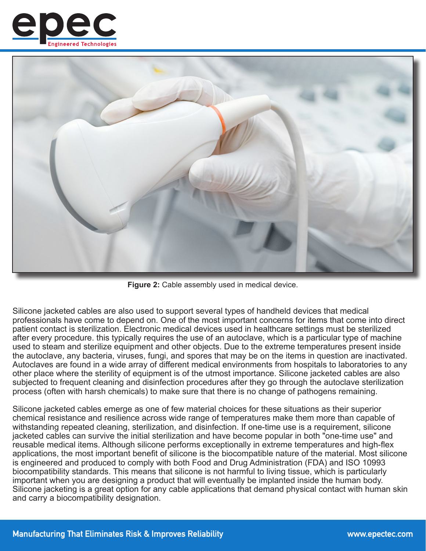![](_page_2_Picture_0.jpeg)

![](_page_2_Picture_1.jpeg)

**Figure 2:** Cable assembly used in medical device.

Silicone jacketed cables are also used to support several types of handheld devices that medical professionals have come to depend on. One of the most important concerns for items that come into direct patient contact is sterilization. Electronic medical devices used in healthcare settings must be sterilized after every procedure. this typically requires the use of an autoclave, which is a particular type of machine used to steam and sterilize equipment and other objects. Due to the extreme temperatures present inside the autoclave, any bacteria, viruses, fungi, and spores that may be on the items in question are inactivated. Autoclaves are found in a wide array of different medical environments from hospitals to laboratories to any other place where the sterility of equipment is of the utmost importance. Silicone jacketed cables are also subjected to frequent cleaning and disinfection procedures after they go through the autoclave sterilization process (often with harsh chemicals) to make sure that there is no change of pathogens remaining.

Silicone jacketed cables emerge as one of few material choices for these situations as their superior chemical resistance and resilience across wide range of temperatures make them more than capable of withstanding repeated cleaning, sterilization, and disinfection. If one-time use is a requirement, silicone jacketed cables can survive the initial sterilization and have become popular in both "one-time use" and reusable medical items. Although silicone performs exceptionally in extreme temperatures and high-flex applications, the most important benefit of silicone is the biocompatible nature of the material. Most silicone is engineered and produced to comply with both Food and Drug Administration (FDA) and ISO 10993 biocompatibility standards. This means that silicone is not harmful to living tissue, which is particularly important when you are designing a product that will eventually be implanted inside the human body. Silicone jacketing is a great option for any cable applications that demand physical contact with human skin and carry a biocompatibility designation.